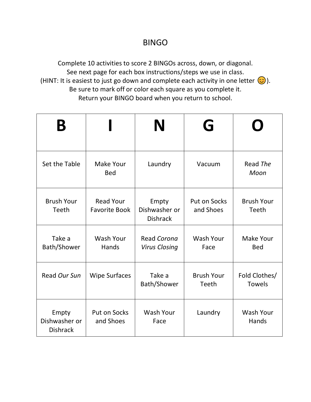#### BINGO

Complete 10 activities to score 2 BINGOs across, down, or diagonal. See next page for each box instructions/steps we use in class. (HINT: It is easiest to just go down and complete each activity in one letter  $\bigodot$ ). Be sure to mark off or color each square as you complete it. Return your BINGO board when you return to school.

|                                           |                                          | N                                         | G                                |                                   |
|-------------------------------------------|------------------------------------------|-------------------------------------------|----------------------------------|-----------------------------------|
| Set the Table                             | Make Your<br><b>Bed</b>                  | Laundry                                   | Vacuum                           | Read The<br>Moon                  |
| <b>Brush Your</b><br><b>Teeth</b>         | <b>Read Your</b><br><b>Favorite Book</b> | Empty<br>Dishwasher or<br><b>Dishrack</b> | <b>Put on Socks</b><br>and Shoes | <b>Brush Your</b><br><b>Teeth</b> |
| Take a<br>Bath/Shower                     | <b>Wash Your</b><br>Hands                | Read Corona<br><b>Virus Closing</b>       | <b>Wash Your</b><br>Face         | Make Your<br><b>Bed</b>           |
| Read Our Sun                              | <b>Wipe Surfaces</b>                     | Take a<br>Bath/Shower                     | <b>Brush Your</b><br>Teeth       | Fold Clothes/<br><b>Towels</b>    |
| Empty<br>Dishwasher or<br><b>Dishrack</b> | Put on Socks<br>and Shoes                | <b>Wash Your</b><br>Face                  | Laundry                          | <b>Wash Your</b><br>Hands         |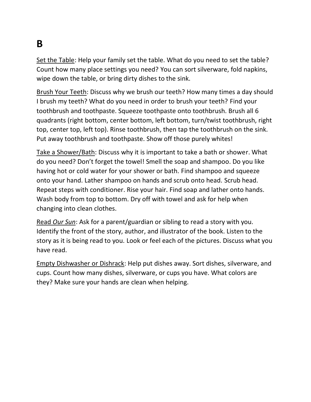### **B**

Set the Table: Help your family set the table. What do you need to set the table? Count how many place settings you need? You can sort silverware, fold napkins, wipe down the table, or bring dirty dishes to the sink.

Brush Your Teeth: Discuss why we brush our teeth? How many times a day should I brush my teeth? What do you need in order to brush your teeth? Find your toothbrush and toothpaste. Squeeze toothpaste onto toothbrush. Brush all 6 quadrants (right bottom, center bottom, left bottom, turn/twist toothbrush, right top, center top, left top). Rinse toothbrush, then tap the toothbrush on the sink. Put away toothbrush and toothpaste. Show off those purely whites!

Take a Shower/Bath: Discuss why it is important to take a bath or shower. What do you need? Don't forget the towel! Smell the soap and shampoo. Do you like having hot or cold water for your shower or bath. Find shampoo and squeeze onto your hand. Lather shampoo on hands and scrub onto head. Scrub head. Repeat steps with conditioner. Rise your hair. Find soap and lather onto hands. Wash body from top to bottom. Dry off with towel and ask for help when changing into clean clothes.

Read *Our Sun*: Ask for a parent/guardian or sibling to read a story with you. Identify the front of the story, author, and illustrator of the book. Listen to the story as it is being read to you. Look or feel each of the pictures. Discuss what you have read.

Empty Dishwasher or Dishrack: Help put dishes away. Sort dishes, silverware, and cups. Count how many dishes, silverware, or cups you have. What colors are they? Make sure your hands are clean when helping.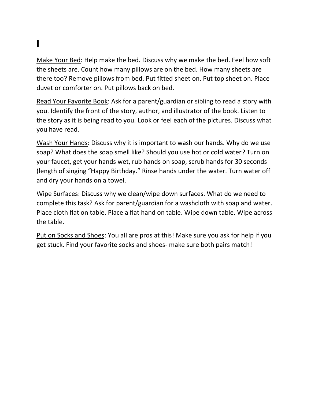# **I**

Make Your Bed: Help make the bed. Discuss why we make the bed. Feel how soft the sheets are. Count how many pillows are on the bed. How many sheets are there too? Remove pillows from bed. Put fitted sheet on. Put top sheet on. Place duvet or comforter on. Put pillows back on bed.

Read Your Favorite Book: Ask for a parent/guardian or sibling to read a story with you. Identify the front of the story, author, and illustrator of the book. Listen to the story as it is being read to you. Look or feel each of the pictures. Discuss what you have read.

Wash Your Hands: Discuss why it is important to wash our hands. Why do we use soap? What does the soap smell like? Should you use hot or cold water? Turn on your faucet, get your hands wet, rub hands on soap, scrub hands for 30 seconds (length of singing "Happy Birthday." Rinse hands under the water. Turn water off and dry your hands on a towel.

Wipe Surfaces: Discuss why we clean/wipe down surfaces. What do we need to complete this task? Ask for parent/guardian for a washcloth with soap and water. Place cloth flat on table. Place a flat hand on table. Wipe down table. Wipe across the table.

Put on Socks and Shoes: You all are pros at this! Make sure you ask for help if you get stuck. Find your favorite socks and shoes- make sure both pairs match!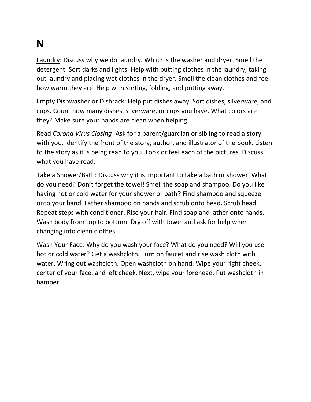#### **N**

Laundry: Discuss why we do laundry. Which is the washer and dryer. Smell the detergent. Sort darks and lights. Help with putting clothes in the laundry, taking out laundry and placing wet clothes in the dryer. Smell the clean clothes and feel how warm they are. Help with sorting, folding, and putting away.

Empty Dishwasher or Dishrack: Help put dishes away. Sort dishes, silverware, and cups. Count how many dishes, silverware, or cups you have. What colors are they? Make sure your hands are clean when helping.

Read *Corona Virus Closing*: Ask for a parent/guardian or sibling to read a story with you. Identify the front of the story, author, and illustrator of the book. Listen to the story as it is being read to you. Look or feel each of the pictures. Discuss what you have read.

Take a Shower/Bath: Discuss why it is important to take a bath or shower. What do you need? Don't forget the towel! Smell the soap and shampoo. Do you like having hot or cold water for your shower or bath? Find shampoo and squeeze onto your hand. Lather shampoo on hands and scrub onto head. Scrub head. Repeat steps with conditioner. Rise your hair. Find soap and lather onto hands. Wash body from top to bottom. Dry off with towel and ask for help when changing into clean clothes.

Wash Your Face: Why do you wash your face? What do you need? Will you use hot or cold water? Get a washcloth. Turn on faucet and rise wash cloth with water. Wring out washcloth. Open washcloth on hand. Wipe your right cheek, center of your face, and left cheek. Next, wipe your forehead. Put washcloth in hamper.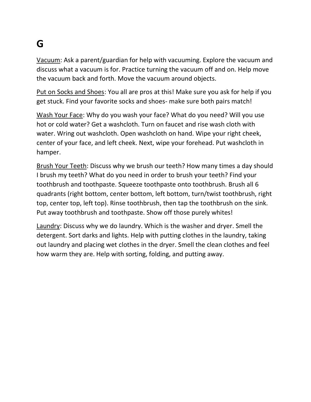#### **G**

Vacuum: Ask a parent/guardian for help with vacuuming. Explore the vacuum and discuss what a vacuum is for. Practice turning the vacuum off and on. Help move the vacuum back and forth. Move the vacuum around objects.

Put on Socks and Shoes: You all are pros at this! Make sure you ask for help if you get stuck. Find your favorite socks and shoes- make sure both pairs match!

Wash Your Face: Why do you wash your face? What do you need? Will you use hot or cold water? Get a washcloth. Turn on faucet and rise wash cloth with water. Wring out washcloth. Open washcloth on hand. Wipe your right cheek, center of your face, and left cheek. Next, wipe your forehead. Put washcloth in hamper.

Brush Your Teeth: Discuss why we brush our teeth? How many times a day should I brush my teeth? What do you need in order to brush your teeth? Find your toothbrush and toothpaste. Squeeze toothpaste onto toothbrush. Brush all 6 quadrants (right bottom, center bottom, left bottom, turn/twist toothbrush, right top, center top, left top). Rinse toothbrush, then tap the toothbrush on the sink. Put away toothbrush and toothpaste. Show off those purely whites!

Laundry: Discuss why we do laundry. Which is the washer and dryer. Smell the detergent. Sort darks and lights. Help with putting clothes in the laundry, taking out laundry and placing wet clothes in the dryer. Smell the clean clothes and feel how warm they are. Help with sorting, folding, and putting away.